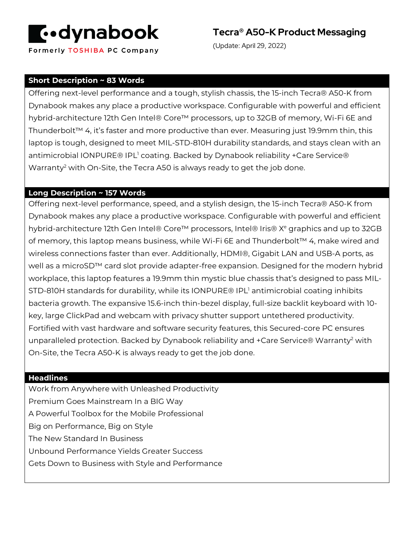

Formerly TOSHIBA PC Company

**Tecra® A50-K Product Messaging**

(Update: April 29, 2022)

### **Short Description ~ 83 Words**

Offering next-level performance and a tough, stylish chassis, the 15-inch Tecra® A50-K from Dynabook makes any place a productive workspace. Configurable with powerful and efficient hybrid-architecture 12th Gen Intel® Core™ processors, up to 32GB of memory, Wi-Fi 6E and Thunderbolt™ 4, it's faster and more productive than ever. Measuring just 19.9mm thin, this laptop is tough, designed to meet MIL-STD-810H durability standards, and stays clean with an antimicrobial IONPURE® IPL<sup>1</sup> coating. Backed by Dynabook reliability +Care Service® Warranty<sup>2</sup> with On-Site, the Tecra A50 is always ready to get the job done.

#### **Long Description ~ 157 Words**

Offering next-level performance, speed, and a stylish design, the 15-inch Tecra® A50-K from Dynabook makes any place a productive workspace. Configurable with powerful and efficient hybrid-architecture 12th Gen Intel® Core™ processors, Intel® Iris® X<sup>e</sup> graphics and up to 32GB of memory, this laptop means business, while Wi-Fi 6E and Thunderbolt™ 4, make wired and wireless connections faster than ever. Additionally, HDMI®, Gigabit LAN and USB-A ports, as well as a microSD™ card slot provide adapter-free expansion. Designed for the modern hybrid workplace, this laptop features a 19.9mm thin mystic blue chassis that's designed to pass MIL-STD-810H standards for durability, while its IONPURE® IPL<sup>1</sup> antimicrobial coating inhibits bacteria growth. The expansive 15.6-inch thin-bezel display, full-size backlit keyboard with 10 key, large ClickPad and webcam with privacy shutter support untethered productivity. Fortified with vast hardware and software security features, this Secured-core PC ensures unparalleled protection. Backed by Dynabook reliability and +Care Service® Warranty<sup>2</sup> with On-Site, the Tecra A50-K is always ready to get the job done.

#### **Headlines**

Work from Anywhere with Unleashed Productivity Premium Goes Mainstream In a BIG Way A Powerful Toolbox for the Mobile Professional Big on Performance, Big on Style The New Standard In Business Unbound Performance Yields Greater Success Gets Down to Business with Style and Performance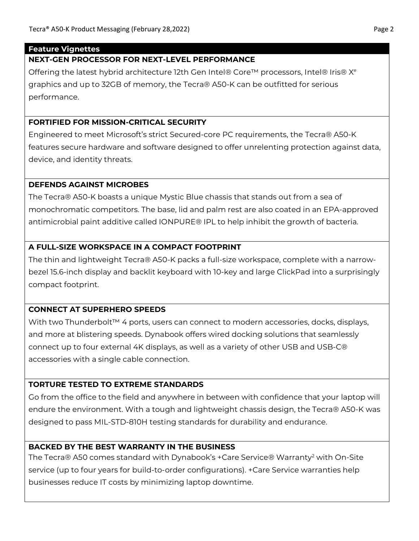#### **Feature Vignettes**

### **NEXT-GEN PROCESSOR FOR NEXT-LEVEL PERFORMANCE**

Offering the latest hybrid architecture 12th Gen Intel® Core<sup>™</sup> processors, Intel® Iris®  $X^e$ graphics and up to 32GB of memory, the Tecra® A50-K can be outfitted for serious performance.

## **FORTIFIED FOR MISSION-CRITICAL SECURITY**

Engineered to meet Microsoft's strict Secured-core PC requirements, the Tecra® A50-K features secure hardware and software designed to offer unrelenting protection against data, device, and identity threats.

### **DEFENDS AGAINST MICROBES**

The Tecra® A50-K boasts a unique Mystic Blue chassis that stands out from a sea of monochromatic competitors. The base, lid and palm rest are also coated in an EPA-approved antimicrobial paint additive called IONPURE® IPL to help inhibit the growth of bacteria.

# **A FULL-SIZE WORKSPACE IN A COMPACT FOOTPRINT**

The thin and lightweight Tecra® A50-K packs a full-size workspace, complete with a narrowbezel 15.6-inch display and backlit keyboard with 10-key and large ClickPad into a surprisingly compact footprint.

# **CONNECT AT SUPERHERO SPEEDS**

With two Thunderbolt™ 4 ports, users can connect to modern accessories, docks, displays, and more at blistering speeds. Dynabook offers wired docking solutions that seamlessly connect up to four external 4K displays, as well as a variety of other USB and USB-C® accessories with a single cable connection.

# **TORTURE TESTED TO EXTREME STANDARDS**

Go from the office to the field and anywhere in between with confidence that your laptop will endure the environment. With a tough and lightweight chassis design, the Tecra® A50-K was designed to pass MIL-STD-810H testing standards for durability and endurance.

# **BACKED BY THE BEST WARRANTY IN THE BUSINESS**

The Tecra® A50 comes standard with Dynabook's +Care Service® Warranty<sup>2</sup> with On-Site service (up to four years for build-to-order configurations). +Care Service warranties help businesses reduce IT costs by minimizing laptop downtime.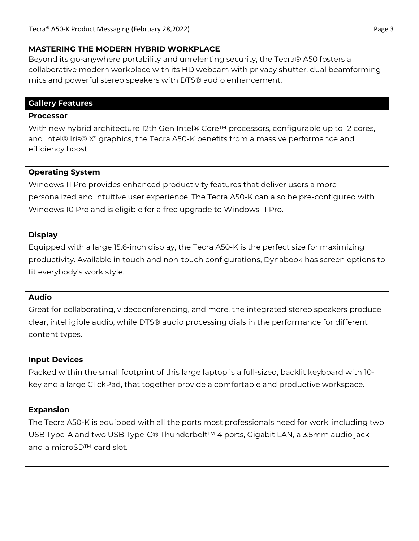#### **MASTERING THE MODERN HYBRID WORKPLACE**

Beyond its go-anywhere portability and unrelenting security, the Tecra® A50 fosters a collaborative modern workplace with its HD webcam with privacy shutter, dual beamforming mics and powerful stereo speakers with DTS® audio enhancement.

### **Gallery Features**

#### **Processor**

With new hybrid architecture 12th Gen Intel® Core™ processors, configurable up to 12 cores, and Intel® Iris®  $X<sup>e</sup>$  graphics, the Tecra A50-K benefits from a massive performance and efficiency boost.

## **Operating System**

Windows 11 Pro provides enhanced productivity features that deliver users a more personalized and intuitive user experience. The Tecra A50-K can also be pre-configured with Windows 10 Pro and is eligible for a free upgrade to Windows 11 Pro.

### **Display**

Equipped with a large 15.6-inch display, the Tecra A50-K is the perfect size for maximizing productivity. Available in touch and non-touch configurations, Dynabook has screen options to fit everybody's work style.

### **Audio**

Great for collaborating, videoconferencing, and more, the integrated stereo speakers produce clear, intelligible audio, while DTS® audio processing dials in the performance for different content types.

# **Input Devices**

Packed within the small footprint of this large laptop is a full-sized, backlit keyboard with 10 key and a large ClickPad, that together provide a comfortable and productive workspace.

# **Expansion**

The Tecra A50-K is equipped with all the ports most professionals need for work, including two USB Type-A and two USB Type-C® Thunderbolt™ 4 ports, Gigabit LAN, a 3.5mm audio jack and a microSD™ card slot.